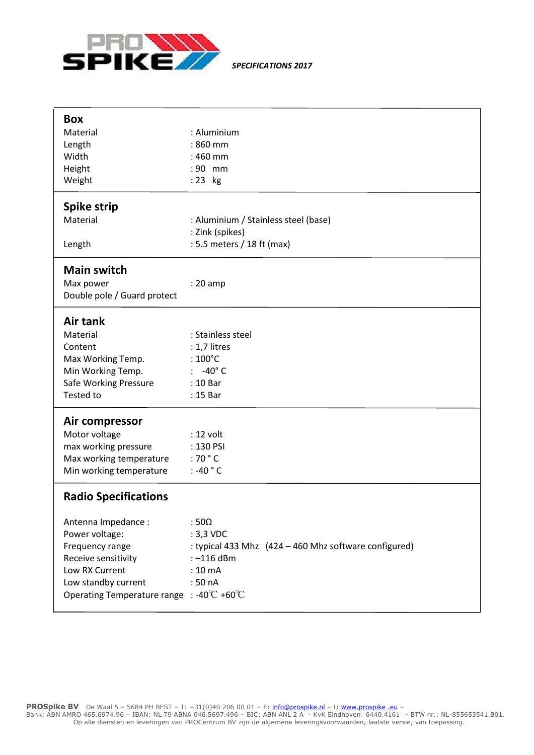

*SPECIFICATIONS 2017*

| <b>Box</b><br>Material<br>Length<br>Width<br>Height<br>Weight                                                                                                                                                                              | : Aluminium<br>: 860 mm<br>: 460 mm<br>:90 mm<br>:23 kg                                                                        |
|--------------------------------------------------------------------------------------------------------------------------------------------------------------------------------------------------------------------------------------------|--------------------------------------------------------------------------------------------------------------------------------|
| <b>Spike strip</b><br>Material<br>Length                                                                                                                                                                                                   | : Aluminium / Stainless steel (base)<br>: Zink (spikes)<br>: 5.5 meters / 18 ft (max)                                          |
| <b>Main switch</b><br>Max power<br>Double pole / Guard protect                                                                                                                                                                             | $: 20$ amp                                                                                                                     |
| Air tank<br>Material<br>Content<br>Max Working Temp.<br>Min Working Temp.<br>Safe Working Pressure<br>Tested to                                                                                                                            | : Stainless steel<br>: 1,7 litres<br>: $100^{\circ}$ C<br>$: -40^{\circ}$ C<br>: 10 Bar<br>: 15 Bar                            |
| Air compressor<br>Motor voltage<br>max working pressure<br>Max working temperature<br>Min working temperature                                                                                                                              | : 12 volt<br>: 130 PSI<br>: 70 $^{\circ}$ C<br>: -40 $\degree$ C                                                               |
| <b>Radio Specifications</b><br>Antenna Impedance :<br>Power voltage:<br>Frequency range<br>Receive sensitivity<br>Low RX Current<br>Low standby current<br>Operating Temperature range : -40 $\mathrm{^{\circ}C}$ +60 $\mathrm{^{\circ}C}$ | $:50\Omega$<br>: 3,3 VDC<br>: typical 433 Mhz (424 - 460 Mhz software configured)<br>:-116 dBm<br>$: 10 \text{ mA}$<br>: 50 nA |